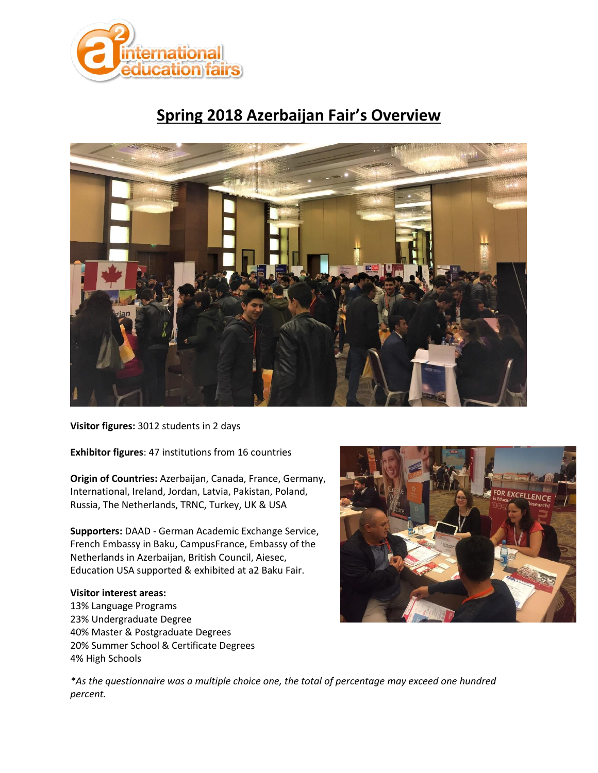

# **Spring 2018 Azerbaijan Fair's Overview**



**Visitor figures:** 3012 students in 2 days

**Exhibitor figures**: 47 institutions from 16 countries

**Origin of Countries:** Azerbaijan, Canada, France, Germany, International, Ireland, Jordan, Latvia, Pakistan, Poland, Russia, The Netherlands, TRNC, Turkey, UK & USA

**Supporters:** DAAD - German Academic Exchange Service, French Embassy in Baku, CampusFrance, Embassy of the Netherlands in Azerbaijan, British Council, Aiesec, Education USA supported & exhibited at a2 Baku Fair.

#### **Visitor interest areas:**

13% Language Programs 23% Undergraduate Degree 40% Master & Postgraduate Degrees 20% Summer School & Certificate Degrees 4% High Schools



*\*As the questionnaire was a multiple choice one, the total of percentage may exceed one hundred percent.*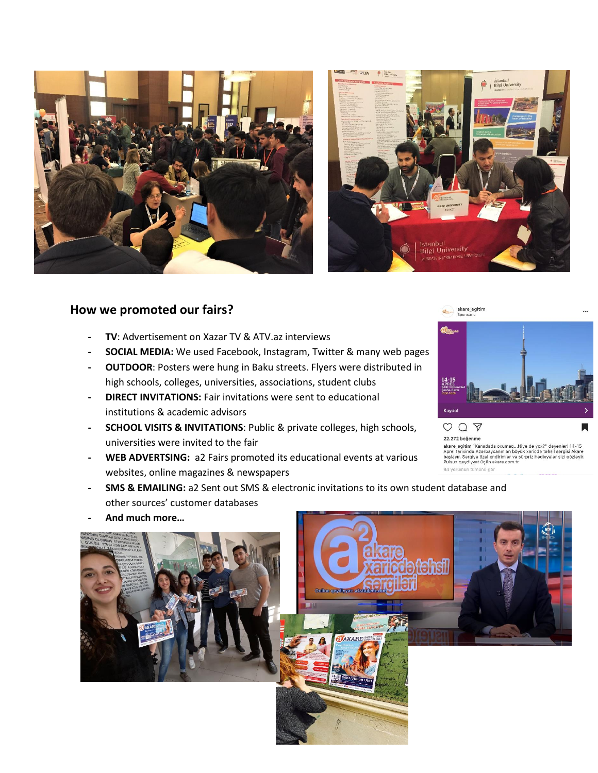



### **How we promoted our fairs?**

- **- TV**: Advertisement on Xazar TV & ATV.az interviews
- **- SOCIAL MEDIA:** We used Facebook, Instagram, Twitter & many web pages
- **- OUTDOOR**: Posters were hung in Baku streets. Flyers were distributed in high schools, colleges, universities, associations, student clubs
- **- DIRECT INVITATIONS:** Fair invitations were sent to educational institutions & academic advisors
- **- SCHOOL VISITS & INVITATIONS**: Public & private colleges, high schools, universities were invited to the fair
- **- WEB ADVERTSING:** a2 Fairs promoted its educational events at various websites, online magazines & newspapers



 $OQ$ 22.272 beğenme

94 yorumun tümünü gör

- **- SMS & EMAILING:** a2 Sent out SMS & electronic invitations to its own student database and other sources' customer databases
- **- And much more…**



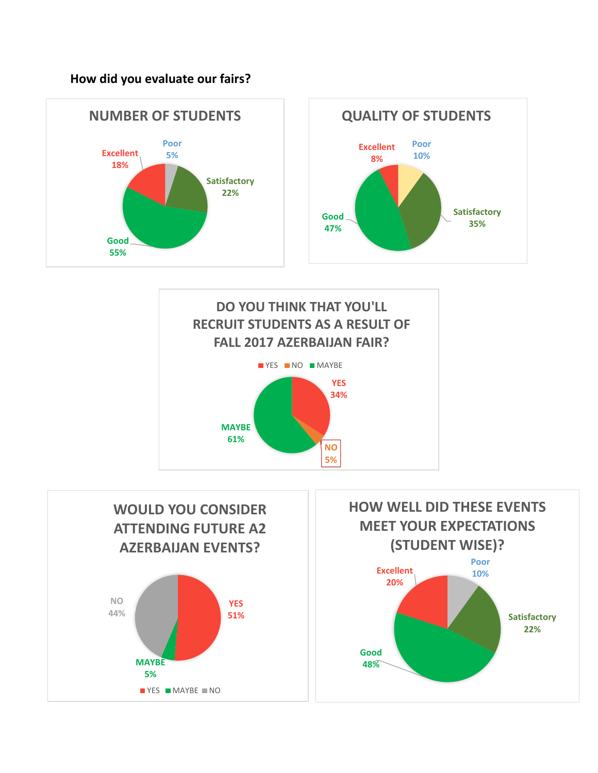**How did you evaluate our fairs?**